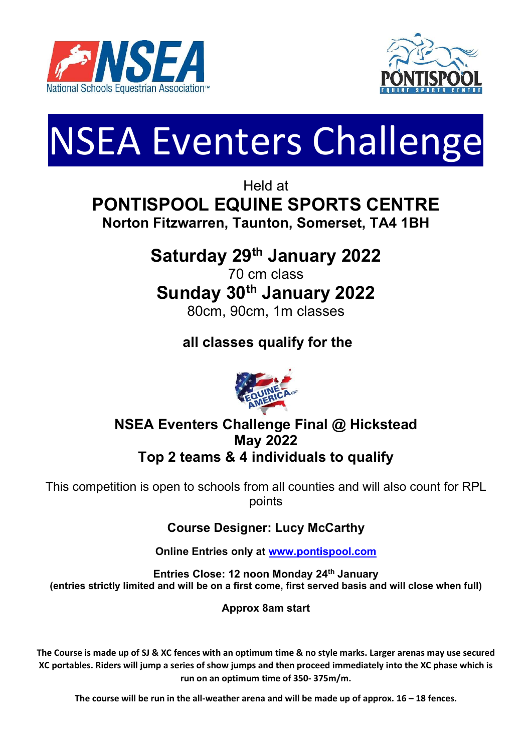



# NSEA Eventers Challenge

# Held at PONTISPOOL EQUINE SPORTS CENTRE Norton Fitzwarren, Taunton, Somerset, TA4 1BH

# Saturday 29th January 2022

70 cm class Sunday 30th January 2022 80cm, 90cm, 1m classes

# all classes qualify for the



# NSEA Eventers Challenge Final @ Hickstead May 2022 Top 2 teams & 4 individuals to qualify

This competition is open to schools from all counties and will also count for RPL points

Course Designer: Lucy McCarthy

Online Entries only at www.pontispool.com

Entries Close: 12 noon Monday 24<sup>th</sup> January (entries strictly limited and will be on a first come, first served basis and will close when full)

Approx 8am start

The Course is made up of SJ & XC fences with an optimum time & no style marks. Larger arenas may use secured XC portables. Riders will jump a series of show jumps and then proceed immediately into the XC phase which is run on an optimum time of 350- 375m/m.

The course will be run in the all-weather arena and will be made up of approx.  $16 - 18$  fences.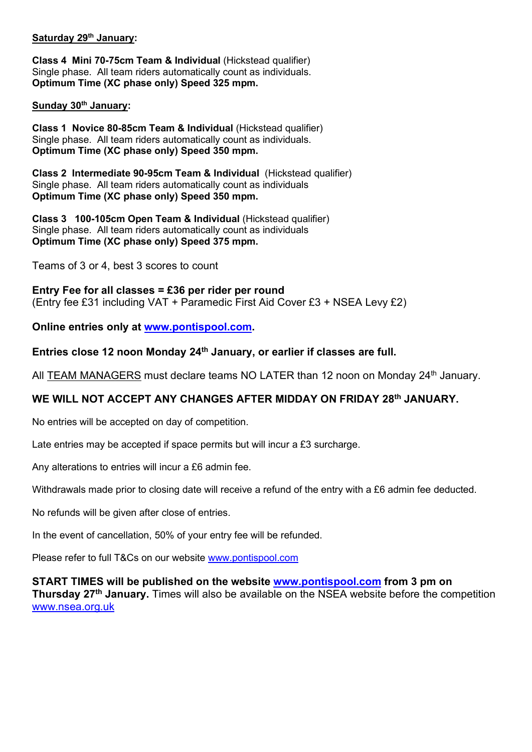## Saturday 29<sup>th</sup> January:

Class 4 Mini 70-75cm Team & Individual (Hickstead qualifier) Single phase. All team riders automatically count as individuals. Optimum Time (XC phase only) Speed 325 mpm.

## Sunday 30<sup>th</sup> January:

Class 1 Novice 80-85cm Team & Individual (Hickstead qualifier) Single phase. All team riders automatically count as individuals. Optimum Time (XC phase only) Speed 350 mpm.

Class 2 Intermediate 90-95cm Team & Individual (Hickstead qualifier) Single phase. All team riders automatically count as individuals Optimum Time (XC phase only) Speed 350 mpm.

Class 3 100-105cm Open Team & Individual (Hickstead qualifier) Single phase. All team riders automatically count as individuals Optimum Time (XC phase only) Speed 375 mpm.

Teams of 3 or 4, best 3 scores to count

Entry Fee for all classes  $=$  £36 per rider per round (Entry fee £31 including VAT + Paramedic First Aid Cover £3 + NSEA Levy £2)

Online entries only at www.pontispool.com.

## Entries close 12 noon Monday 24<sup>th</sup> January, or earlier if classes are full.

All TEAM MANAGERS must declare teams NO LATER than 12 noon on Monday 24<sup>th</sup> January.

# WE WILL NOT ACCEPT ANY CHANGES AFTER MIDDAY ON FRIDAY 28th JANUARY.

No entries will be accepted on day of competition.

Late entries may be accepted if space permits but will incur a £3 surcharge.

Any alterations to entries will incur a £6 admin fee.

Withdrawals made prior to closing date will receive a refund of the entry with a £6 admin fee deducted.

No refunds will be given after close of entries.

In the event of cancellation, 50% of your entry fee will be refunded.

Please refer to full T&Cs on our website www.pontispool.com

START TIMES will be published on the website www.pontispool.com from 3 pm on Thursday 27<sup>th</sup> January. Times will also be available on the NSEA website before the competition www.nsea.org.uk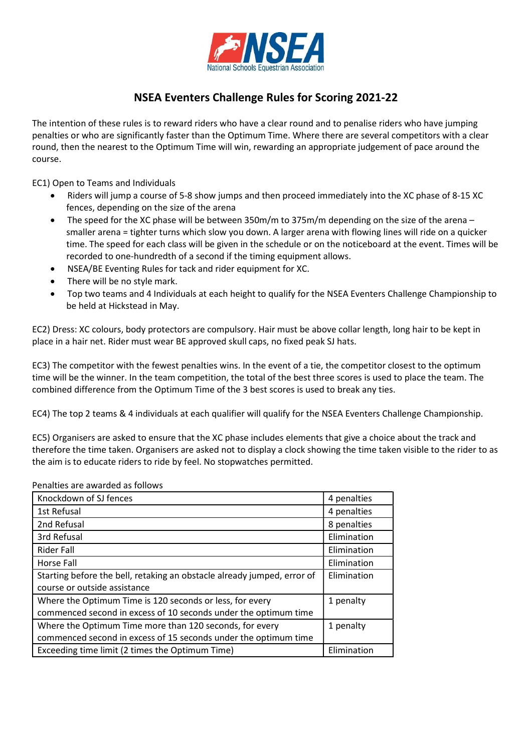

# NSEA Eventers Challenge Rules for Scoring 2021-22

The intention of these rules is to reward riders who have a clear round and to penalise riders who have jumping penalties or who are significantly faster than the Optimum Time. Where there are several competitors with a clear round, then the nearest to the Optimum Time will win, rewarding an appropriate judgement of pace around the course.

EC1) Open to Teams and Individuals

- Riders will jump a course of 5-8 show jumps and then proceed immediately into the XC phase of 8-15 XC fences, depending on the size of the arena
- The speed for the XC phase will be between 350m/m to 375m/m depending on the size of the arena smaller arena = tighter turns which slow you down. A larger arena with flowing lines will ride on a quicker time. The speed for each class will be given in the schedule or on the noticeboard at the event. Times will be recorded to one-hundredth of a second if the timing equipment allows.
- NSEA/BE Eventing Rules for tack and rider equipment for XC.
- There will be no style mark.
- Top two teams and 4 Individuals at each height to qualify for the NSEA Eventers Challenge Championship to be held at Hickstead in May.

EC2) Dress: XC colours, body protectors are compulsory. Hair must be above collar length, long hair to be kept in place in a hair net. Rider must wear BE approved skull caps, no fixed peak SJ hats.

EC3) The competitor with the fewest penalties wins. In the event of a tie, the competitor closest to the optimum time will be the winner. In the team competition, the total of the best three scores is used to place the team. The combined difference from the Optimum Time of the 3 best scores is used to break any ties.

EC4) The top 2 teams & 4 individuals at each qualifier will qualify for the NSEA Eventers Challenge Championship.

EC5) Organisers are asked to ensure that the XC phase includes elements that give a choice about the track and therefore the time taken. Organisers are asked not to display a clock showing the time taken visible to the rider to as the aim is to educate riders to ride by feel. No stopwatches permitted.

#### Penalties are awarded as follows

| Knockdown of SJ fences                                                  | 4 penalties |
|-------------------------------------------------------------------------|-------------|
| 1st Refusal                                                             | 4 penalties |
| 2nd Refusal                                                             | 8 penalties |
| 3rd Refusal                                                             | Elimination |
| Rider Fall                                                              | Elimination |
| Horse Fall                                                              | Elimination |
| Starting before the bell, retaking an obstacle already jumped, error of | Elimination |
| course or outside assistance                                            |             |
| Where the Optimum Time is 120 seconds or less, for every                | 1 penalty   |
| commenced second in excess of 10 seconds under the optimum time         |             |
| Where the Optimum Time more than 120 seconds, for every                 | 1 penalty   |
| commenced second in excess of 15 seconds under the optimum time         |             |
| Exceeding time limit (2 times the Optimum Time)                         | Elimination |